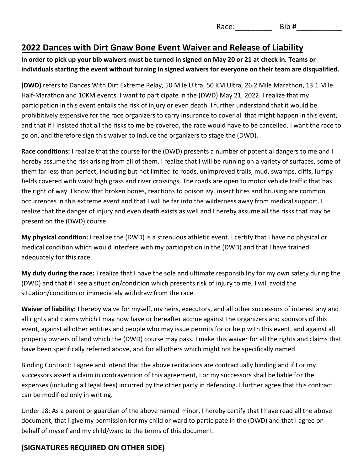Race:\_\_\_\_\_\_\_\_\_ Bib #\_\_\_\_\_\_\_\_\_\_\_

## **2022 Dances with Dirt Gnaw Bone Event Waiver and Release of Liability**

#### **In order to pick up your bib waivers must be turned in signed on May 20 or 21 at check in. Teams or individuals starting the event without turning in signed waivers for everyone on their team are disqualified.**

**(DWD)** refers to Dances With Dirt Extreme Relay, 50 Mile Ultra, 50 KM Ultra, 26.2 Mile Marathon, 13.1 Mile Half-Marathon and 10KM events. I want to participate in the (DWD) May 21, 2022. I realize that my participation in this event entails the risk of injury or even death. I further understand that it would be prohibitively expensive for the race organizers to carry insurance to cover all that might happen in this event, and that if I insisted that all the risks to me be covered, the race would have to be cancelled. I want the race to go on, and therefore sign this waiver to induce the organizers to stage the (DWD).

**Race conditions:** I realize that the course for the (DWD) presents a number of potential dangers to me and I hereby assume the risk arising from all of them. I realize that I will be running on a variety of surfaces, some of them far less than perfect, including but not limited to roads, unimproved trails, mud, swamps, cliffs, lumpy fields covered with waist high grass and river crossings. The roads are open to motor vehicle traffic that has the right of way. I know that broken bones, reactions to poison ivy, insect bites and bruising are common occurrences in this extreme event and that I will be far into the wilderness away from medical support. I realize that the danger of injury and even death exists as well and I hereby assume all the risks that may be present on the (DWD) course.

**My physical condition:** I realize the (DWD) is a strenuous athletic event. I certify that I have no physical or medical condition which would interfere with my participation in the (DWD) and that I have trained adequately for this race.

**My duty during the race:** I realize that I have the sole and ultimate responsibility for my own safety during the (DWD) and that if I see a situation/condition which presents risk of injury to me, I will avoid the situation/condition or immediately withdraw from the race.

**Waiver of liability:** I hereby waive for myself, my heirs, executors, and all other successors of interest any and all rights and claims which I may now have or hereafter accrue against the organizers and sponsors of this event, against all other entities and people who may issue permits for or help with this event, and against all property owners of land which the (DWD) course may pass. I make this waiver for all the rights and claims that have been specifically referred above, and for all others which might not be specifically named.

Binding Contract: I agree and intend that the above recitations are contractually binding and if I or my successors assert a claim in contravention of this agreement, I or my successors shall be liable for the expenses (including all legal fees) incurred by the other party in defending. I further agree that this contract can be modified only in writing.

Under 18: As a parent or guardian of the above named minor, I hereby certify that I have read all the above document, that I give my permission for my child or ward to participate in the (DWD) and that I agree on behalf of myself and my child/ward to the terms of this document.

# **(SIGNATURES REQUIRED ON OTHER SIDE)**